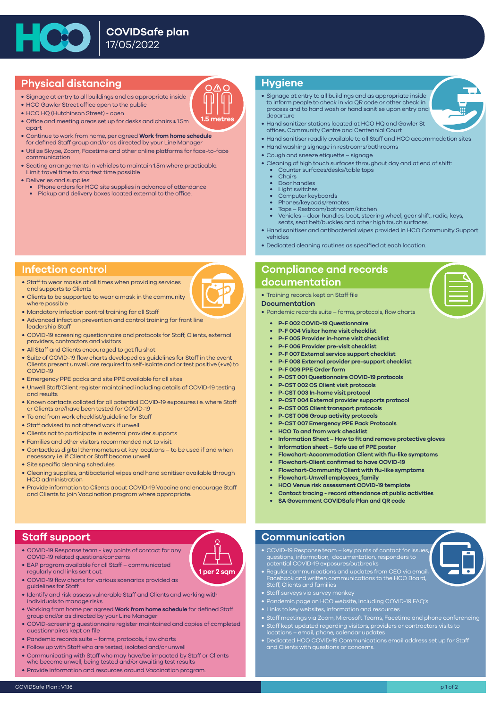

# **Physical distancing**

- Signage at entry to all buildings and as appropriate inside
- HCO Gawler Street office open to the public
- HCO HQ (Hutchinson Street) open
- Office and meeting areas set up for desks and chairs ≥ 1.5m apart
- Continue to work from home, per agreed **Work from home schedule**  for defined Staff group and/or as directed by your Line Manager
- Utilize Skype, Zoom, Facetime and other online platforms for face-to-face communication
- Seating arrangements in vehicles to maintain 1.5m where practicable. Limit travel time to shortest time possible
- Deliveries and supplies:
	- Phone orders for HCO site supplies in advance of attendance
	- Pickup and delivery boxes located external to the office.

## **Hygiene**

**1.5 metre** 

- Signage at entry to all buildings and as appropriate inside to inform people to check in via QR code or other check in process and to hand wash or hand sanitise upon entry and departure
- Hand sanitizer stations located at HCO HQ and Gawler St offices, Community Centre and Centennial Court
- Hand sanitiser readily available to all Staff and HCO accommodation sites
- Hand washing signage in restrooms/bathrooms
- Cough and sneeze etiquette signage
- Cleaning of high touch surfaces throughout day and at end of shift:
	- Counter surfaces/desks/table tops
- Chairs
	- Door handles
	- Light switches
	- Computer keyboards
	- Phones/keypads/remotes • Taps – Restroom/bathroom/kitchen
	- Vehicles door handles, boot, steering wheel, gear shift, radio, keys, seats, seat belt/buckles and other high touch surfaces
- Hand sanitiser and antibacterial wipes provided in HCO Community Support vehicles
- Dedicated cleaning routines as specified at each location.

## **Infection control**

- Staff to wear masks at all times when providing services and supports to Clients
- Clients to be supported to wear a mask in the community where possible
- Mandatory infection control training for all Staff
- Advanced infection prevention and control training for front line leadership Staff
- COVID-19 screening questionnaire and protocols for Staff, Clients, external providers, contractors and visitors
- All Staff and Clients encouraged to get flu shot
- Suite of COVID-19 flow charts developed as guidelines for Staff in the event Clients present unwell, are required to self-isolate and or test positive (+ve) to COVID-19
- Emergency PPE packs and site PPE available for all sites
- Unwell Staff/Client register maintained including details of COVID-19 testing and results
- Known contacts collated for all potential COVID-19 exposures i.e. where Staff or Clients are/have been tested for COVID-19
- To and from work checklist/guideline for Staff
- Staff advised to not attend work if unwell
- Clients not to participate in external provider supports
- Families and other visitors recommended not to visit
- Contactless digital thermometers at key locations to be used if and when necessary i.e. if Client or Staff become unwell
- Site specific cleaning schedules
- Cleaning supplies, antibacterial wipes and hand sanitiser available through HCO administration
- Provide information to Clients about COVID-19 Vaccine and encourage Staff and Clients to join Vaccination program where appropriate.

# **Compliance and records documentation**

• Training records kept on Staff file

#### **Documentation**

- Pandemic records suite forms, protocols, flow charts
	- **P-F 002 COVID-19 Questionnaire**
	- **P-F 004 Visitor home visit checklist**
	- **P-F 005 Provider in-home visit checklist**
	- **P-F 006 Provider pre-visit checklist**
	- **P-F 007 External service support checklist**
	- **P-F 008 External provider pre-support checklist**
	- **P-F 009 PPE Order form**
	- **P-CST 001 Questionnaire COVID-19 protocols**
	- **P-CST 002 CS Client visit protocols**
	- **P-CST 003 In-home visit protocol**
	- **P-CST 004 External provider supports protocol**
	- **P-CST 005 Client transport protocols**
	- **P-CST 006 Group activity protocols**
	- **P-CST 007 Emergency PPE Pack Protocols**
	- **HCO To and from work checklist**
	- **Information Sheet How to fit and remove protective gloves**
	- **Information sheet Safe use of PPE poster**
	- **Flowchart-Accommodation Client with flu-like symptoms**
	- **Flowchart-Client confirmed to have COVID-19**
	- **Flowchart-Community Client with flu-like symptoms**
	- **Flowchart-Unwell employees\_family**
	- **HCO Venue risk assessment COVID-19 template**
	- **Contact tracing record attendance at public activities**
	- **SA Government COVIDSafe Plan and QR code**









## **Staff support**

- COVID-19 Response team key points of contact for any COVID-19 related questions/concerns
- EAP program available for all Staff communicated regularly and links sent out
- COVID-19 flow charts for various scenarios provided as guidelines for Staff

- Identify and risk assess vulnerable Staff and Clients and working with individuals to manage risks
- Working from home per agreed **Work from home schedule** for defined Staff group and/or as directed by your Line Manager
- COVID-screening questionnaire register maintained and copies of completed questionnaires kept on file
- Pandemic records suite forms, protocols, flow charts
- Follow up with Staff who are tested, isolated and/or unwell
- Communicating with Staff who may have/be impacted by Staff or Clients who become unwell, being tested and/or awaiting test results
- Provide information and resources around Vaccination program.

### **Communication**

- COVID-19 Response team key points of contact for issues, questions, information, documentation, responders to potential COVID-19 exposures/outbreaks
- Regular communications and updates from CEO via email, Facebook and written communications to the HCO Board, Staff, Clients and families
- Staff surveys via survey monkey
- Pandemic page on HCO website, including COVID-19 FAQ's
- Links to key websites, information and resources
- Staff meetings via Zoom, Microsoft Teams, Facetime and phone conferencing
- Staff kept updated regarding visitors, providers or contractors visits to locations – email, phone, calendar updates
- Dedicated HCO COVID-19 Communications email address set up for Staff and Clients with questions or concerns.